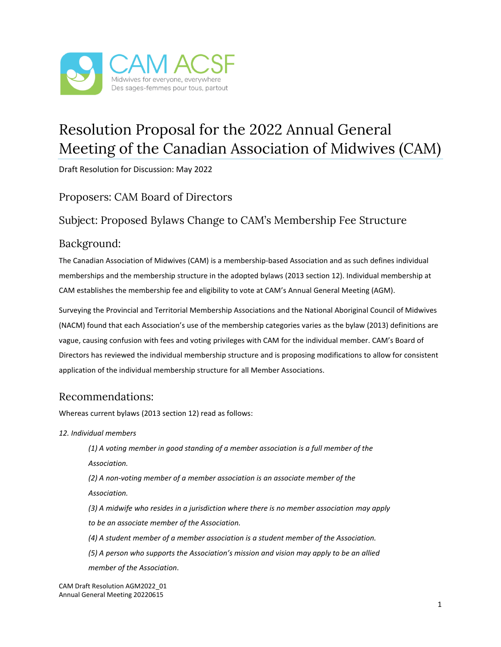

# Resolution Proposal for the 2022 Annual General Meeting of the Canadian Association of Midwives (CAM)

Draft Resolution for Discussion: May 2022

### Proposers: CAM Board of Directors

## Subject: Proposed Bylaws Change to CAM's Membership Fee Structure

#### Background:

The Canadian Association of Midwives (CAM) is a membership-based Association and as such defines individual memberships and the membership structure in the adopted bylaws (2013 section 12). Individual membership at CAM establishes the membership fee and eligibility to vote at CAM's Annual General Meeting (AGM).

Surveying the Provincial and Territorial Membership Associations and the National Aboriginal Council of Midwives (NACM) found that each Association's use of the membership categories varies as the bylaw (2013) definitions are vague, causing confusion with fees and voting privileges with CAM for the individual member. CAM's Board of Directors has reviewed the individual membership structure and is proposing modifications to allow for consistent application of the individual membership structure for all Member Associations.

## Recommendations:

Whereas current bylaws (2013 section 12) read as follows:

*12. Individual members*

*(1) A voting member in good standing of a member association is a full member of the Association.*

*(2) A non-voting member of a member association is an associate member of the Association.*

*(3) A midwife who resides in a jurisdiction where there is no member association may apply to be an associate member of the Association.*

*(4) A student member of a member association is a student member of the Association.*

*(5) A person who supports the Association's mission and vision may apply to be an allied member of the Association.*

CAM Draft Resolution AGM2022\_01 Annual General Meeting 20220615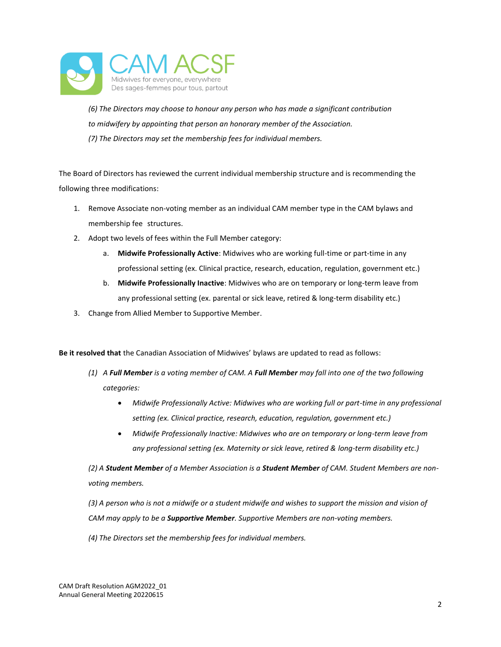

*(6) The Directors may choose to honour any person who has made a significant contribution to midwifery by appointing that person an honorary member of the Association. (7) The Directors may set the membership fees for individual members.*

The Board of Directors has reviewed the current individual membership structure and is recommending the following three modifications:

- 1. Remove Associate non-voting member as an individual CAM member type in the CAM bylaws and membership fee structures.
- 2. Adopt two levels of fees within the Full Member category:
	- a. **Midwife Professionally Active**: Midwives who are working full-time or part-time in any professional setting (ex. Clinical practice, research, education, regulation, government etc.)
	- b. **Midwife Professionally Inactive**: Midwives who are on temporary or long-term leave from any professional setting (ex. parental or sick leave, retired & long-term disability etc.)
- 3. Change from Allied Member to Supportive Member.

**Be it resolved that** the Canadian Association of Midwives' bylaws are updated to read as follows:

- *(1) A Full Member is a voting member of CAM. A Full Member may fall into one of the two following categories:*
	- *Midwife Professionally Active: Midwives who are working full or part-time in any professional setting (ex. Clinical practice, research, education, regulation, government etc.)*
	- *Midwife Professionally Inactive: Midwives who are on temporary or long-term leave from any professional setting (ex. Maternity or sick leave, retired & long-term disability etc.)*

*(2) A Student Member of a Member Association is a Student Member of CAM. Student Members are nonvoting members.* 

*(3) A person who is not a midwife or a student midwife and wishes to support the mission and vision of CAM may apply to be a Supportive Member. Supportive Members are non-voting members.* 

*(4) The Directors set the membership fees for individual members.*